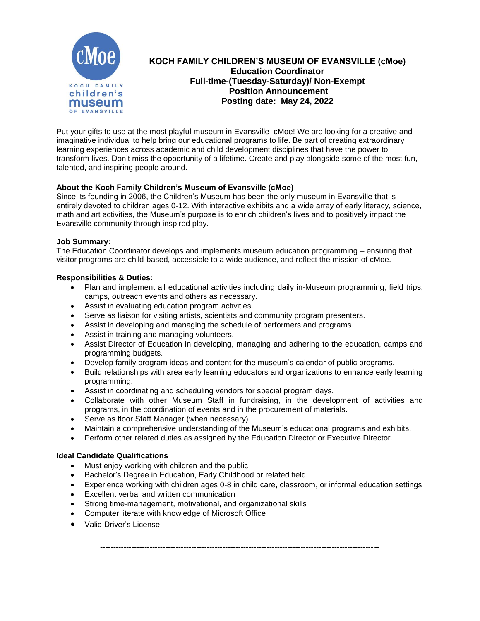

# **KOCH FAMILY CHILDREN'S MUSEUM OF EVANSVILLE (cMoe) Education Coordinator Full-time-(Tuesday-Saturday)/ Non-Exempt Position Announcement Posting date: May 24, 2022**

Put your gifts to use at the most playful museum in Evansville–cMoe! We are looking for a creative and imaginative individual to help bring our educational programs to life. Be part of creating extraordinary learning experiences across academic and child development disciplines that have the power to transform lives. Don't miss the opportunity of a lifetime. Create and play alongside some of the most fun, talented, and inspiring people around.

## **About the Koch Family Children's Museum of Evansville (cMoe)**

Since its founding in 2006, the Children's Museum has been the only museum in Evansville that is entirely devoted to children ages 0-12. With interactive exhibits and a wide array of early literacy, science, math and art activities, the Museum's purpose is to enrich children's lives and to positively impact the Evansville community through inspired play.

#### **Job Summary:**

The Education Coordinator develops and implements museum education programming – ensuring that visitor programs are child-based, accessible to a wide audience, and reflect the mission of cMoe.

## **Responsibilities & Duties:**

- Plan and implement all educational activities including daily in-Museum programming, field trips, camps, outreach events and others as necessary.
- Assist in evaluating education program activities.
- Serve as liaison for visiting artists, scientists and community program presenters.
- Assist in developing and managing the schedule of performers and programs.
- Assist in training and managing volunteers.
- Assist Director of Education in developing, managing and adhering to the education, camps and programming budgets.
- Develop family program ideas and content for the museum's calendar of public programs.
- Build relationships with area early learning educators and organizations to enhance early learning programming.
- Assist in coordinating and scheduling vendors for special program days.
- Collaborate with other Museum Staff in fundraising, in the development of activities and programs, in the coordination of events and in the procurement of materials.
- Serve as floor Staff Manager (when necessary).
- Maintain a comprehensive understanding of the Museum's educational programs and exhibits.
- Perform other related duties as assigned by the Education Director or Executive Director.

#### **Ideal Candidate Qualifications**

- Must enjoy working with children and the public
- Bachelor's Degree in Education, Early Childhood or related field
- Experience working with children ages 0-8 in child care, classroom, or informal education settings

**-----------------------------------------------------------------------------------------------------------**

- Excellent verbal and written communication
- Strong time-management, motivational, and organizational skills
- Computer literate with knowledge of Microsoft Office
- Valid Driver's License